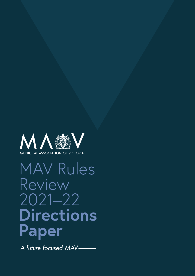

# MAV Rules Review 2021–22 **Directions Paper**

A future focused MAV-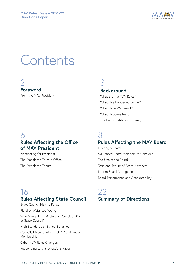

## **Contents**

## [2](#page-2-0) **[Foreword](#page-2-0)**

[From the MAV President](#page-2-0)

## 3

## **Background**

[What are the MAV Rules?](#page-3-0) [What Has Happened So Far?](#page-4-0)  [What Have We Learnt?](#page-4-0) [What Happens Next?](#page-4-0) [The Decision-Making Journey](#page-5-0)

## 6 **Rules Affecting the Office of MAV President**

[Nominating for President](#page-6-0) [The President's Term in Office](#page-7-0) [The President's Tenure](#page-7-0)

## 8

## **Rules Affecting the MAV Board**

[Electing a Board](#page-8-0) [Skill Based Board Members to Consider](#page-9-0) [The Size of the Board](#page-11-0) [Term and Tenure of Board Members](#page-11-0) [Interim Board Arrangements](#page-12-0) [Board Performance and Accountability](#page-13-0)

## 16 **Rules Affecting State Council**

[State Council Making Policy](#page-16-0) [Plural or Weighted Voting](#page-18-0) [Who May Submit Matters for Consideration](#page-19-0)  [at State Council?](#page-19-0) [High Standards of Ethical Behaviour](#page-20-0) [Councils Discontinuing Their MAV Financial](#page-20-0)  [Membership](#page-20-0) [Other MAV Rules Changes](#page-20-0) [Responding to this Directions Paper](#page-21-0)

## $22$ **Summary of Directions**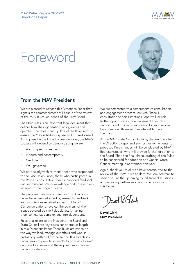

## <span id="page-2-0"></span>**Foreword**



## **From the MAV President**

We are pleased to release this Directions Paper that signals the commencement of Phase 2 of the review of the MAV Rules, on behalf of the MAV Board.

The MAV Rules is an important legal document that defines how the organisation runs, governs and operates. The review and update of the Rules aims to ensure the MAV is fit-for-purpose and future-focused. As proposed in the initial Discussion Paper, the MAV's success will depend on demonstrating we are:

- A strong sector leader
- Modern and contemporary
- Credible
- Well governed.

We particularly wish to thank those who responded to the Discussion Paper, those who participated in the Phase 1 consultation forums, provided feedback and submissions. We acknowledge and have actively listened to the range of views.

The proposed reforms outlined in this Directions Paper have been informed by research, feedback and submissions received as part of Phase 1. Our conversations have confirmed many of the issues covered by the Rules dovetail, making them somewhat complex and interdependent.

Rules that relate to the President, the Board and State Council are key issues considered at length in this Directions Paper. These Rules are critical to the way we lead, manage our affairs and work in partnership with and for the sector. This Directions Paper seeks to provide some clarity on a way forward on these key issues and the required Rule changes under consideration.

We are committed to a comprehensive consultation and engagement process. As with Phase 1, consultation on this Directions Paper will include further opportunities for engagement through a second round of forums and calling for submissions. I encourage all those with an interest to have their say.

At the MAV State Council in June, the feedback from the Directions Paper and any further refinements to proposed Rule changes will be considered by MAV Representatives, who will provide further direction to the Board. Then the final phase, drafting of the Rules to be considered for adoption at a Special State Council meeting in September this year.

Again, thank you to all who have contributed to the review of the MAV Rules to date. We look forward to seeing you at the upcoming round table discussions and receiving written submissions in response to this Paper.

**David Clark MAV President**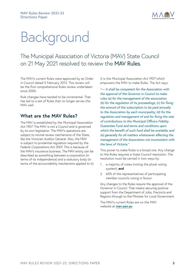

## <span id="page-3-0"></span>Background

The Municipal Association of Victoria (MAV) State Council on 21 May 2021 resolved to review the MAV Rules.

The MAV's current Rules were approved by an Order in Council dated 5 February 2013. This review will be the first comprehensive Rules review undertaken since 2006.

Rule changes have tended to be incremental. That has led to a set of Rules that no longer serves the MAV well.

### **What are the MAV Rules?**

The MAV is established by the *Municipal Association Act 1907*. The MAV is not a Council and is governed by its own legislation. The MAV's operations are subject to normal review mechanisms of the State, like the Victorian Auditor General. Also, the MAV is subject to prudential regulation required by the Federal *Corporations Act 2001*. This is because of the MAV's insurance business. The MAV entity can be described as something between a corporation (in terms of its independence) and a statutory body (in terms of the accountability mechanisms applied to it). It is the *Municipal Association Act 1907* which empowers the MAV to make Rules. The Act says:

*"— It shall be competent for the Association with the approval of the Governor in Council to make rules (a) for the management of the association; (b) for the regulation of its proceedings; (c) for fixing the amount of the subscription to be paid annually to the Association by each municipality; (d) for the regulation and management of and for fixing the rate of contributions to the Municipal Officers Fidelity Guarantee Fund and terms and conditions upon which the benefit of such fund shall be available; and (e) generally for all matters whatsoever affecting the management of the Association not inconsistent with the laws of Victoria."*

This power to make Rules is a broad one. Any change to the Rules requires a State Council resolution. The resolution must be carried in two ways by:

- 1. a majority of votes (noting the plural voting system); **and**
- 2. 60% of the representatives of participating member councils voting in favour.

Any changes to the Rules require the approval of the Governor in Council. That means securing positive support from the Department of Jobs, Precincts and Regions through to the Minister for Local Government

The MAV's current Rules are on the MAV website at **[mav.asn.au](http://www.mav.asn.au)**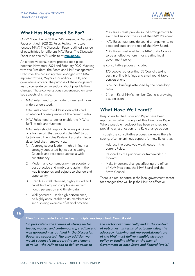

### <span id="page-4-0"></span>**What Has Happened So Far?**

On 22 November 2021 the MAV released a Discussion Paper entitled "2021-22 Rules Review - A future focused MAV". The Discussion Paper outlined a range of possibilities for different MAV Rules. The Discussion Paper is on the MAV website at **[mav.asn.au](http://www.mav.asn.au)**

An extensive consultative process took place between November 2021 and February 2022. Working with the President, the Board and MAV Management Executive, the consulting team engaged with MAV representatives, Mayors, Councillors, CEOs, and governance officers. The purpose of the engagement was to generate conversations about possible Rule changes. Those conversations concentrated on seven key aspects of change:

- MAV Rules need to be modern, clear and more widely understood.
- MAV Rules need to address oversights and unintended consequences of the current Rules.
- MAV Rules need to better enable the MAV to fulfil its role and function.
- MAV Rules should respond to some principles or a framework that supports the MAV to do its job well. The Rules Review Discussion Paper described that framework as:
	- 1. A strong sector leader highly influential, strongly supported by its participating Councils and respected across a wide constituency.
	- 2. Modern and contemporary an adopter of best practice and nimble and agile in the way it responds and adjusts to change and opportunity.
	- 3. Credible well informed, highly skilled and capable of arguing complex issues with rigour, persuasion and timely data.
	- 4. Well governed seek high performance, be highly accountable to its members and set a shining example of ethical practice.
- MAV Rules must provide sound arrangements to elect and support the role of the MAV President.
- MAV Rules must provide sound arrangements to elect and support the role of the MAV Board.
- MAV Rules must enable the MAV State Council to be an effective forum for creating local government policy.

The consultative process included:

- 170 people representing 55 Councils taking part in online briefings and small round table conversations
- 5 council briefings attended by the consulting team.
- 34, or 43% of MAV's member Councils providing a submission.

## **What Have We Learnt?**

Responses to the Discussion Paper have been reported in detail throughout this Directions Paper. Where possible, feedback has been synthesized, providing a justification for a Rule change option.

Through the consultative process we know there is strong, often unanimous support for new Rules that:

- Address the perceived weaknesses in the current Rules.
- Respond to the principles or framework put forward.
- Make important changes affecting the office of MAV President, the MAV Board and the State Council.

There is a real appetite in the local government sector for changes that will help the MAV be effective.

## $66$

#### **Glen Eira suggested another key principle was important. Council said:**

*"In particular – the themes of strong sector leader, modern and contemporary, credible and well governed – as outlined in the Discussion Paper are supported. The only addition we would suggest is incorporating an element of value – the MAV needs to deliver value to* 

*the sector both financially and in the context of outcomes. In terms of outcome value, the advocacy, lobbying and representational role of the MAV must deliver tangible strategy, policy or funding shifts on the part of Government at both State and Federal levels."*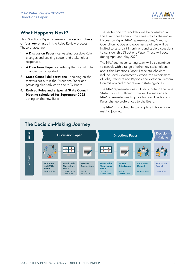

## <span id="page-5-0"></span>**What Happens Next?**

This Directions Paper represents the **second phase of four key phases** in the Rules Review process. Those phases are:

- 1. **A Discussion Paper** canvassing possible Rule changes and seeking sector and stakeholder responses.
- 2. **A Directions Paper** clarifying the kind of Rule changes contemplated.
- 3. **State Council deliberations** deciding on the matters set out in the Directions Paper and providing clear advice to the MAV Board.
- 4. **Revised Rules and a Special State Council Meeting scheduled for September 2022** voting on the new Rules.

The sector and stakeholders will be consulted in this Directions Paper in the same way as the earlier Discussion Paper. MAV representatives, Mayors, Councillors, CEOs and governance offices will be invited to take part in online round table discussions to consider this Directions Paper. These will occur during April and May 2022.

The MAV and its consulting team will also continue to consult with a range of other key stakeholders about this Directions Paper. These stakeholders include Local Government Victoria, the Department of Jobs, Precincts and Regions, the Victorian Electoral Commission and other relevant state agencies

The MAV representatives will participate in the June State Council. Sufficient time will be set aside for MAV representatives to provide clear direction on Rules change preferences to the Board.

The MAV is on schedule to complete this decision making journey.

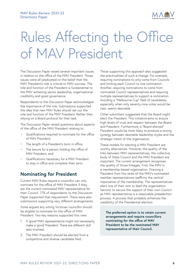

## <span id="page-6-0"></span>Rules Affecting the Office of MAV President

The Discussion Paper raised several important issues in relation to the office of the MAV President. Those issues were all predicated on the belief that the MAV President's role is critical to MAV success. The role and function of the President is fundamental to the MAV achieving sector leadership, organisational credibility and good governance.

Respondents to the Discussion Paper acknowledged the importance of the role. Submissions supported the idea that new MAV Rules should set out the role and function of the MAV President. Rather than relying on a Board protocol for that task.

The Discussion Paper raised questions about aspects of the office of the MAV President relating to:

- Qualifications required to nominate for the office of MAV President;
- The length of a President's term in office;
- The tenure for a person holding the office of MAV President; and
- Qualifications necessary for a MAV President to stay in office and complete their term.

## **Nominating for President**

Current MAV Rules require a councillor can only nominate for the office of MAV President if they are the current nominated MAV representative for their Council. 77% of respondents to the Discussion Paper supported that requirement. There were also submissions supporting very different arrangements.

Some argued any sitting Victorian councillor should be eligible to nominate for the office of MAV President. Two key reasons supported this view.

- 1. A 'good' MAV representative might not necessarily make a 'good' President. There are different skill sets involved.
- 2. The MAV President should be elected from a competitive and diverse candidate field.

Those supporting this approach also suggested the practicalities of such a change. For example, requiring nominations to only come from Councils and limiting each Council to one nomination. Another, requiring nominations to come from nominated Council representatives and requiring multiple representatives to support a nomination. Avoiding a "Melbourne Cup" field of candidates, especially when only seventy-nine votes would be cast, seems desirable.

Other submitters suggested that the Board might elect the President. This initiative aims to ensure high levels of trust and respect between the Board and President. Furthermore, a "Board elected" President would be more likely to produce a strong synergy between desirable leadership styles and the strategic intent of the organisation.

These models for electing a MAV President are worthy alternatives. However, the quality of the links between MAV representatives, the collective body of State Council and the MAV President are important. The current arrangement recognises the quality of those linkages. First, the MAV is a membership-based organisation. Drawing a President from the ranks of the MAV's nominated member representatives reaffirms the central importance of the membership. The representatives elect one of their own to lead the organisation. Second, to secure the support of their own Council as MAV representative is a reasonable preselection process. A process that probably enhances the credibility of the Presidential election.

**The preferred option is to retain current arrangements and require councillors nominating for the office of MAV President to be the nominated MAV representative of their Council.**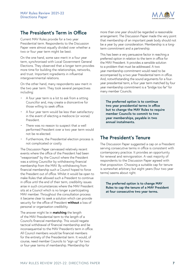

## <span id="page-7-0"></span>**The President's Term in Office**

Current MAV Rules provide for a two year Presidential term. Respondents to the Discussion Paper were almost equally divided over whether a two or four year term might be best.

On the one hand, some saw merit in a four year term, synchronised with Local Government General Elections. They observed that a longer term provides more time for building the relationships, networks, and trust. Important ingredients in influential intergovernmental relations.

On the other hand, many respondents saw merit in the two year term. They took several perspectives including:

- A four year term is a lot to ask from a sitting Councillor and, may create a disincentive for those willing to seek office.
- A four year term would be less than satisfactory in the event of electing a mediocre (or worse) President.
- There was no reason to suspect that a well performed President over a two year term would not be re-elected.
- Furthermore, the Presidential election process is not complicated or costly.

The Discussion Paper canvassed relatively recent events where the office of the President had been "weaponised" by the Council where the President was a sitting Councillor by withdrawing financial membership from the MAV. By withdrawing from financial membership such a Council hoped to force the President out of office. Whilst it would be open to make Rules that allowed such a President to continue in office until the end of their term, credibility issues arise in such circumstances where the MAV President sits at a Council which is no longer a participating MAV member. Throughout the consultation process it became clear to seek a solution which can provide security for the office of President **without** a loss of personal or organisation credibility.

The answer might lie in **matching** the length of the MAV Presidential term to the length of a Council's financial membership. This would negate tactical withdrawal of financial membership and be inconsequential to the MAV President's term in office. All Council members would be financial members for the entirety of the Presidential term. It would, of course, need member Councils to "sign up" for two or four-year terms of membership. Membership for

more than one year should be regarded a reasonable arrangement. The Discussion Paper made the very point that membership of an important peak body should not be a year by year consideration. Membership is a longterm commitment and a partnership.

This has been a very persuasive factor in reaching a preferred option in relation to the term in office for the MAV President. It provides a sensible solution to a problem that must be addressed. A two year membership commitment would need to be accompanied by a two year Presidential term in office. And, notwithstanding the sound arguments for a fouryear presidential term, a four year term matched by four year membership commitment is a "bridge too far" for many member Councils.

**The preferred option is to continue two year presidential terms in office but to change the MAV Rules to require member Councils to commit to two year memberships, payable in two annual instalments.**

## **The President's Tenure**

The Discussion Paper suggested a cap on a President serving consecutive terms in office is consistent with contemporary practice. It provides an opportunity for renewal and reinvigoration. A vast majority of respondents to the Discussion Paper agreed with that proposition. Choosing a suitable cap for tenure is somewhat arbitrary but eight years (four two year terms) seems about right.

**The preferred option is to change MAV Rules to cap the tenure of a MAV President at four consecutive two year terms.**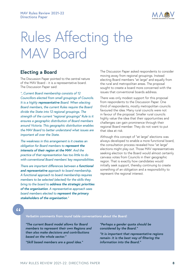

# <span id="page-8-0"></span>Rules Affecting the MAV Board

### **Electing a Board**

The Discussion Paper pointed to the central nature of the MAV Board - it is a representative board. The Discussion Paper said:

*"...Current Board membership consists of 12 Councillors elected from small groupings of Councils. It is a highly representative Board. When electing Board members, the current Rules require the Board divide the State into 12 regional groupings. The strength of the current "regional groupings" Rule is it ensures a geographic distribution of Board members around Victoria. This geographic distribution enables the MAV Board to better understand what issues are important all over the State.*

*The weakness in this arrangement is it creates an obligation for Board members to represent the interests of their region at the MAV. And the practice of that representation has too little to do with conventional Board members' key responsibilities.*

*There are important differences between a functional and representative approach to board membership. A functional approach to board membership requires members to be selected (elected) for the skills they bring to the board to address the strategic priorities of the organisation. A representative approach sees board members elected to represent the primary stakeholders of the organisation."*

The Discussion Paper asked respondents to consider moving away from regional groupings. Instead electing Board members "at large" and equally from the rural and metropolitan areas. The proposal sought to create a board more concerned with the issues that conventional boards address.

There was only modest support for this proposal from respondents to the Discussion Paper. One third of respondents, mostly metropolitan councils favoured the idea. Many rural councils were not in favour of the proposal. Smaller rural councils highly value the idea that their opportunities and challenges can gain prominence through their regional Board member. They do not want to put that idea at risk.

Although this concept of "at large" elections was always developed to enable a more functional board, the consultation process revealed how "at large" elections might play out. Those MAV representatives seeking election to the Board would almost certainly canvass votes from Councils in their geographic region. That is exactly how candidates would initially seek support, thereby continuing to create something of an obligation and a responsibility to represent the regional interest.

 $\epsilon$ 

*Verbatim comments from round table conversations about the Board:*

*"The current Board model allows for Board members to represent their own Regions and then also make decisions and contributions based on the whole sector."*

*"Skill based members are a good idea."*

*"Perhaps a gender quota should be considered by the Board."*

*"It is important that representative regions remain- it is the best way of filtering the information into the Board."*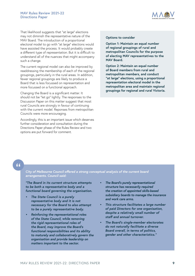

<span id="page-9-0"></span>That likelihood suggests that "at large" elections may not diminish the representative nature of the MAV Board. The introduction of a proportional electoral model to go with "at large" elections would have assisted the process. It would probably create a different type of representation. But it is difficult to understand all of the nuances that might accompany such a change.

The current regional model can also be improved by readdressing the membership of each of the regional groupings, particularly in the rural areas. In addition, fewer regional groupings are likely to produce a Board that is less focussed on representation and more focussed on a functional approach.

Changing the Board is a significant matter. It should not be "let go" lightly. The responses to the Discussion Paper on this matter suggest that most rural Councils are strongly in favour of continuing with the current model. Reponses from metropolitan Councils were more encouraging.

Accordingly, this is an important issue which deserves further consideration and consultation during the Directions Paper phase of the Rules Review and two options are put forward for comment.

#### **Options to consider**

**Option 1: Maintain an equal number of regional groupings of rural and metropolitan Councils for the purpose of electing MAV representatives to the MAV Board.**

**Option 2: Maintain an equal number of Board members from rural and metropolitan members, and conduct "at large" elections, using a proportional representation electoral model in the metropolitan area and maintain regional groupings for regional and rural Victoria.**

### $\epsilon$

*City of Melbourne Council offered a strong conceptual analysis of the current board arrangements. Council said:*

*"The Board in its current structure attempts to be both a representative body and a functional board governing the organisation.*

- *• The State Council is a purely representative body and it is not necessary for the Board to also attempt to be a purely representative body.*
- *• Reinforcing the representational roles of the State Council, while removing the rigid representational roles of the Board, may improve the Board's functional responsibilities and its ability to maturely and collaboratively govern the organisation and provide leadership on matters important to the sector.*
- *• The Board's purely representational structure has necessarily required the creation of appointed skills-based subsidiary boards to manage the insurance and work care arms.*
- *• This structure facilitates a large number of paid Directors for one organisation, despite a relatively small number of staff and annual turnover.*
- *• The Board's single-member electorates do not naturally facilitate a diverse Board overall, in terms of politics, gender and other characteristics."*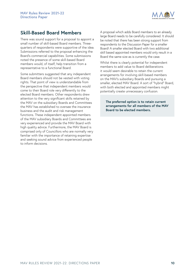

## **Skill-Based Board Members**

There was sound support for a proposal to appoint a small number of skill-based Board members. Threequarters of respondents were supportive of the idea. Submissions referred to the proposal enhancing the Board's commercial capabilities. Some submissions noted the presence of some skill-based Board members would, of itself, help transition from a representative to a functional Board.

Some submitters suggested that any independent Board members should not be vested with voting rights. That point of view is understandable from the perspective that independent members would come to their Board role very differently to the elected Board members. Other respondents drew attention to the very significant skills retained by the MAV on the subsidiary Boards and Committees the MAV has established to oversee the insurance business and the audit and risk management functions. These independent appointed members of the MAV subsidiary Boards and Committees are very experienced and provide the MAV Board with high quality advice. Furthermore, the MAV Board is comprised only of Councillors who are normally very familiar with the importance of retaining expertise and seeking sound advice from experienced people to inform decisions.

A proposal which adds Board members to an already large Board needs to be carefully considered. It should be noted that there has been strong support from respondents to the Discussion Paper for a smaller Board! A smaller elected Board with two additional skill based appointed members would only result in a Board the same size as is currently the case.

Whilst there is clearly potential for independent members to add value to Board deliberations it would seem desirable to retain the current arrangements for involving skill-based members on the MAV's subsidiary Boards and pursuing a smaller, elected MAV Board. A sort of "hybrid" Board, with both elected and appointed members might potentially create unnecessary confusion.

**The preferred option is to retain current arrangements for all members of the MAV Board to be elected members.**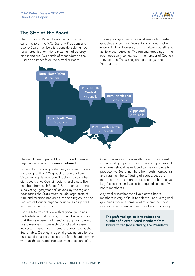

## <span id="page-11-0"></span>**The Size of the Board**

The Discussion Paper drew attention to the current size of the MAV Board. A President and twelve Board members is a considerable number for an organisation with a maximum of seventynine members. Two-thirds of responders to the Discussion Paper favoured a smaller Board.

The regional groupings model attempts to create groupings of common interest and shared socioeconomic links. However, it is not always possible to achieve that outcome. The regional groupings in the rural areas vary somewhat in the number of Councils they contain. The six regional groupings in rural Victoria are:



The results are imperfect but do strive to create regional groupings of **common interest**.

Some submitters suggested very different models. For example, the MAV groupings could follow Victorian Legislative Council regions. Victoria has eight Legislative Council regions (and elects five members from each Region). But, to ensure there is no voting "gerrymander" caused by the regional boundaries the State must include large parts of rural and metropolitan areas into one region. Nor do Legislative Council regional boundaries align well with municipal districts.

For the MAV to continue with regional groupings, particularly in rural Victoria, it should be understood that the main benefit of creating groupings to elect Board members is to enable Councils who share interests to have those interests represented at the Board table. Creating a regional grouping only for the purpose of creating an electorate for a Board member, without those shared interests, would be unhelpful.

Given the support for a smaller Board the current six regional groupings in both the metropolitan and rural areas should be reduced to five groupings to produce five Board members from both metropolitan and rural members. (Noting of course, that the metropolitan area might proceed on the basis of 'at large" elections and would be required to elect five Board members.)

Any smaller number than five elected Board members is very difficult to achieve under a regional groupings model if some level of shared common interests are to remain a feature of each grouping.

**The preferred option is to reduce the number of elected Board members from twelve to ten (not including the President).**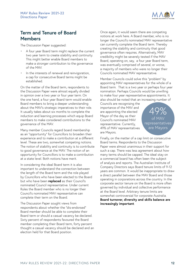

## <span id="page-12-0"></span>**Term and Tenure of Board Members**

The Discussion Paper suggested:

- A four year Board term might replace the current two year term to create stability and continuity. This might better enable Board members to make a stronger contribution to the governance of the MAV.
- In the interests of renewal and reinvigoration, a cap for consecutive Board terms might be established.

On the matter of the Board term, respondents to the Discussion Paper were almost equally divided in opinion over a two year or four year term. On the one hand, a four year Board term would enable Board members to bring a deeper understanding about the MAV's strategic imperatives to their role. It usually takes about six months to complete the induction and learning processes which equip Board members to make considered contributions to the governance of the MAV.

Many member Councils regard board membership as an "opportunity" for Councillors to broaden their experience and to make a contribution at a different level. These are two, somewhat competing notions. The notion of stability and continuity is to contribute to good governance at the MAV. The notion of an opportunity for Councillors is to make a contribution at a state level. Both notions have merit.

In considering the ideal Board term it is also important to understand the connection between the length of the Board term and the role played by Councillors who have been elected to the Board but who have been **replaced** as their Council's nominated Council representative. Under current Rules the Board member who is no longer their Council's nominated MAV representative can complete their term on the Board.

The Discussion Paper sought views from respondents about whether the "dis-endorsed" Board member should be able to complete their Board term or should a casual vacancy be declared. Sixty percent of respondents favoured the Board member completing their Board term, forty percent thought a casual vacancy should be declared and an election held for that Board position.

Once again, it would seem there are competing notions at work here. A Board member, who is no longer the Council's nominated MAV representative can currently complete the Board term. Thereby creating the stability and continuity that good governance often requires. Alternatively, MAV credibility might be severely tested if the MAV Board, operating on, say, a four year Board term, was eventually comprised of several, or worse, a majority of members who were no longer their Councils nominated MAV representative.

Member Councils could solve this "problem" by appointing MAV representatives for the whole of a Board term. That is a two year or perhaps four year nomination. Perhaps Councils would be unwilling to make four year representative appointments. It also should be noted that an increasing number of

Councils are recognising the importance of the MAV and are appointing the elected Mayor of the day as their Council's nominated MAV representative. Currently, 49% of MAV representatives are Mayors.

49% of MAV representatives are Mayors

Finally, on the matter of a cap limit on consecutive Board terms. Respondents to the Discussion Paper were almost unanimous in their support for such a cap. There was less agreement about how many terms should be capped. The ideal stay on a commercial board has often been the subject of analysis and reports. The Australian Institute of Company Directors says Board tenure limits of 9-12 years are common. It would be inappropriate to draw a direct parallel between the MAV Board and those operating in corporations across the country. In the corporate sector tenure on the Board is more often governed by individual and collective performance at the Board level. Arbitrary tenure limits are somewhat controversial for corporate Australia. **Board turnover, diversity and skills balance are increasingly important**.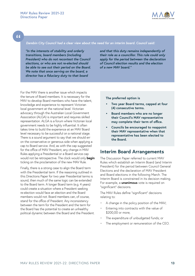

<span id="page-13-0"></span> $\overline{6}$ 

#### *Darebin City Council had a clear view about the need for an interim board. Council said:*

*"In the interests of stability and orderly transitions, board members (including President) who do not recontest the Council elections, or who are not re-elected should be able to see out their period on the Board. We note that once serving on the board, a director has a fiduciary duty to that board* 

*and that this duty remains independently of their role as a councillor. This rule could only apply for the period between the declaration of Council election results and the election of a new MAV board."*

For the MAV there is another issue which impacts the tenure of Board members. It is necessary for the MAV to develop Board members who have the talent, knowledge and experience to represent Victorian local government at the national level. Victorian advocacy through the Australian Local Government Association (ALGA) is important and requires skilled representation. ALGA is a forum where Victorian local government needs to be highly influential. It often takes time to build the experience at an MAV Board level necessary to be successful on a national stage. There is a sound argument to say that we should err on the conservative or generous side when applying a cap to Board service. And, as with the cap suggested for the office of MAV President, any change in MAV Rules applying a Presidential or a Board service cap would not be retrospective. The clock would only **begin** ticking on the proclamation of the new MAV Rule.

Finally, there is a strong case to align the Board term with the Presidential term. If the reasoning outlined in this Directions Paper for two year Presidential terms is sound, then much of the same logic can be extended to the Board term. A longer Board term (e.g. 4 years) could create a situation where a President seeking re-election would face an election and the Board members would not. Board members can, of course, stand for the office of President. Any inconsistency between the term for the President and the term for the Board has the potential to create an unhealthy political dynamic between the Board and the President. **The preferred option is**

- **• Two year Board terms, capped at four (4) consecutive terms.**
- **• Board members who are no longer their Council's MAV representative may complete their term of office.**
- **• Councils be encouraged to reappoint their MAV representative when that representative has been elected to the Board.**

#### **Interim Board Arrangements**

The Discussion Paper referred to current MAV Rules which establish an Interim Board (and Interim President) for the period between Council General Elections and the declaration of MAV President and Board elections in the following March. The Interim Board is constrained in its decision making. For example, a **unanimous** vote is required on "significant" decisions.

The MAV Rules define "significant" decisions relating to:

- A change in the policy position of the MAV;
- Entering into contracts with the value of \$200,00 or more;
- The expenditure of unbudgeted funds; or
- The employment or remuneration of the CEO.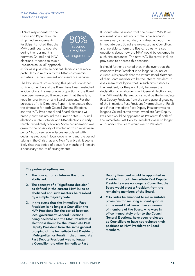

80% of respondents to the Discussion Paper favoured simplified arrangements. Participants noted that the MAV continues to operate during the four months between Council and MAV elections. It needs to take a "business as usual" approach



as far as is possible. Important decisions are made particularly in relation to the MAV's commercial activities like procurement and insurance services.

The key issue at stake during this period is whether sufficient members of the Board have been re-elected as Councillors. If a reasonable proportion of the Board have been re-elected it would seem that there is no need for unanimity on any Board decisions. For the purposes of this Directions Paper it is expected that the timetable for both Council General Elections and the MAV Presidential and Board elections will broadly continue around the current dates – Council elections in late October and MAV elections in early March immediately following. Some consideration was given to the possibility of shortening this "in-between period" but given regular issues associated with declaring elections in local government and the period taking in the Christmas and New Year break, it seems likely that this period of about four months will remain a necessary feature of arrangements.

It should also be noted that the current MAV Rules are silent on an unlikely but plausible scenario where a very small number, or indeed none, of the immediate past Board are re-elected as Councillors and are able to form the Board. It clearly raises questions about how the MAV would be governed in such circumstances. The new MAV Rules will include provisions to address this scenario.

It should further be noted that, in the event that the immediate Past President is no longer a Councillor, current Rules provide that the Interim Board **elect** one of their Board members to be the Interim President. It does seem more logical that, in such circumstances, the President, for the period only between the declaration of local government General Elections and the MAV Presidential election, should be the Immediate Past Deputy President from the same general grouping of the immediate Past President (Metropolitan or Rural) and if that immediate Past Deputy President was no longer a Councillor, the other Immediate Past Deputy President would be appointed as President. If both of the Immediate Past Deputy Presidents were no longer a Councillor, the Board would elect a President.

#### **The preferred options are:**

- **1. The concept of an Interim Board be abolished.**
- **2. The concept of a "significant decision", as defined in the current MAV Rules be abolished and such matters be resolved by a simple majority vote.**
- **3. In the event that the Immediate Past President is no longer a Councillor, the MAV President (for the period between local government General Elections being declared and the MAV Presidential elections) should be the Immediate Past Deputy President from the same general grouping of the Immediate Past President (Metropolitan or Rural). If that Immediate Past Deputy President was no longer a Councillor, the other Immediate Past**

**Deputy President would be appointed as President. If both Immediate Past Deputy Presidents were no longer a Councillor, the Board would elect a President from the remaining members of the Board.**

**4. MAV Rules be amended to make suitable provisions for securing a Board quorum in the event that fewer than a quorum of members of the Board, who were in office immediately prior to the Council General Elections, have been re-elected as Councillors or have not resigned their positions as MAV President or Board members.**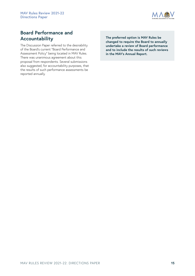

## **Board Performance and Accountability**

The Discussion Paper referred to the desirability of the Board's current "Board Performance and Assessment Policy" being located in MAV Rules. There was unanimous agreement about this proposal from respondents. Several submissions also suggested, for accountability purposes, that the results of such performance assessments be reported annually.

**The preferred option is MAV Rules be changed to require the Board to annually undertake a review of Board performance and to include the results of such reviews in the MAV's Annual Report.**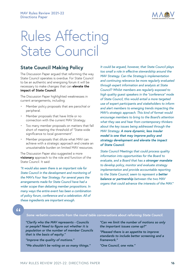

## <span id="page-16-0"></span>Rules Affecting State Council

### **State Council Making Policy**

The Discussion Paper argued that reforming the way State Council operates is overdue. For State Council to be an authentic and energising forum it will be necessary to make changes that can **elevate the impact of State Council**.

The Discussion Paper highlighted weaknesses in current arrangements, including:

- Member policy proposals that are parochial or peripheral.
- Member proposals that have little or no connection with the current MAV Strategy.
- Too many member proposals on matters that fall short of meeting the threshold of "State-wide significance to local government".
- Member proposals that dilute what MAV can achieve with a strategic approach and create an unsustainable burden on limited MAV resources.

The Discussion Paper also suggested a more **visionary** approach to the role and function of the State Council. It said:

*"It would also seem there is an important role for State Council in the development and monitoring of the MAV's Four Year Strategy. For several years the arrangements made for State Council have had a wider scope than debating member propositions. In many ways the entire event has been a combination of policy forum, conference and a celebration. All of these ingredients are important enough.*

*It could be argued, however, that State Council plays too small a role in effective stewardship around the MAV Strategy. Can the Strategy's implementation and continuing relevance be more regularly evaluated through expert information and analysis at State Council? Whilst members are regularly exposed to high quality guest speakers in the "conference" mode of State Council, this would entail a more targeted use of expert participants and stakeholders to inform and alert members to emerging trends impacting the MAV's strategic approach. This kind of format would encourage members to bring to the Board's attention what they see and hear from contemporary thinkers about the key issues being addressed through the MAV Strategy. A more dynamic, less insular model is one that may improve policy and strategy development and elevate the impact of State Council.*

*State Council Meetings that could process quality information into opportunities for the Board to evaluate, and a Board that has a stronger mandate to develop policy, monitor and evaluate strategy implementation and provide accountable reporting to the State Council, seem to represent a better balance or partnership between the two MAV organs that could advance the interests of the MAV."*

 $\overline{6}$ 

#### *Some verbatim comments from the round table conversations about reforming State Council.*

*"Clarify who the MAV represents - Councils or people? Need to figure out whether it is population or the number of member Councils that is the basis of equity."* 

*"Improve the quality of motions."*

*"We shouldn't be voting on so many things."*

*"Can we limit the number of motions so only the important issues come up?"*

*"Pleased there is an appetite to improve standards to include better screening and a framework."*

*"One Council, one vote."*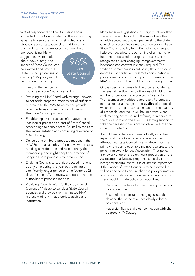

96% of respondents to the Discussion Paper supported State Council reforms. There is a strong appetite to keep that which is stimulating and strategic about State Council but at the same time address the weaknesses most members

are recognising. Many suggestions were made about how, exactly, the impact of State Council can be elevated and how the State Council processes of creating MAV policy might be improved, including:



- Limiting the number of motions any one Council can submit.
- Providing the MAV Board with stronger powers to set aside proposed motions not of sufficient relevance to the MAV Strategy and provide other pathways for such proposals away from the State Council process.
- Establishing an interactive, informative and less insular process as a part of State Council proceedings to enable State Council to evaluate the implementation and continuing relevance of MAV Strategy.
- Deliberating on Board proposed motions the MAV Board has a highly informed view of issues needing consideration and resolution by the membership and might adopt the practice of bringing Board proposals to State Council.
- Enabling Councils to submit proposed motions at any time during the year but requiring a significantly longer period of time (currently 28 days) for the MAV to review and determine the suitability of proposed motions.
- Providing Councils with significantly more time (currently 14 days) to consider State Council agendas and provide their nominated MAV representative with appropriate advice and instruction.

Many sensible suggestions. It is highly unlikely that there is one simple solution. It is more likely that a multi-faceted set of changes can shift the State Council processes into a more contemporary phase. State Council's policy formation role has changed little over decades. It is something of an institution. But a more focussed strategic approach which recognises an ever changing intergovernmental landscape and context is clearly required. The tradition of member inspired policy through robust debate must continue. Grassroots participation in policy formation is just as important as ensuring the MAV is discussing the right things at the right time.

Of the specific reforms identified by respondents, the least attractive may be the idea of limiting the number of proposals any one council can submit. That seems a very arbitrary approach. Reforms are more aimed at a change in the **quality** of proposals which, in turn, might have an impact on the quantity of proposals received. It will be important, when implementing State Council reforms, members give the MAV Board and the MAV CEO strong support to take the necessary decisions which will elevate the impact of State Council.

It would seem there are three critically important aspects of State Council which require some attention at State Council. Firstly, State Council's primary function is to enable members to create the policy framework for the Association. That policy framework underpins a significant proportion of the Association's advocacy program, especially in the intergovernmental space. It is of utmost importance. If the impact of State Council is to be elevated, it will be important to ensure that the policy formation function exhibits some fundamental characteristics. These would include policy formation that:

- Deals with matters of state-wide significance to local government;
- Responds to important emerging issues that demand the Association has clearly adopted positions; and
- Has a significant and clear connection with the adopted MAV Strategy.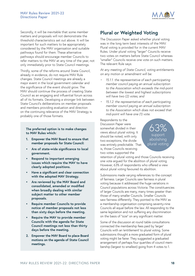

<span id="page-18-0"></span>Secondly, it will be inevitable that some member matters and proposals will not demonstrate the threshold characteristics set out above. It will be important for such matters to be appropriately considered by the MAV organisation and suitable pathways found for them. These alternative pathways should encourage member Councils to refer matters to the MAV at any time of the year, not only immediately prior to State Council meetings.

Thirdly, some of the reforms around State Council, already in evidence, do not require MAV Rule changes. State Council meetings are already a major event in the local government calendar and the significance of the event should grow. The MAV should continue the process of creating State Council as an engaging and influential forum across all of its formats. Developing a stronger link between State Council's deliberations on member proposals and members providing evaluation and direction on the continuing relevance of the MAV Strategy is probably one of those formats.

**The preferred option is to make changes to MAV Rules which:** 

- **1. Empower the MAV Board to ensure that member proposals for State Council:**
- **• Are of state-wide significance to local government.**
- **• Respond to important emerging issues which require the MAV to have clearly adopted positions.**
- **• Have a significant and clear connection with the adopted MAV Strategy.**
- **• Are reviewed by the MAV Board and consolidated, amended or modified when broadly dealing with similar subject matter to other member proposals.**
- **• Require member Councils to provide notice of member proposals not less than sixty days before the meeting.**
- **• Require the MAV to provide member Councils with the agenda for State Council meetings not less than thirty days before the meeting.**
- **2. Empower the MAV Board to place Board motions on the agenda of State Council meetings.**

## **Plural or Weighted Voting**

The Discussion Paper asked whether plural voting was in the long term best interests of the MAV. Plural voting is provided for in the current MAV Rules. Under plural voting "larger" Councils receive two votes on matters before State Council whereas "smaller" Councils receive one vote on such matters. The relevant Rule says:

*At any meeting of State Council, voting entitlements on any motion or amendment will be:*

- *• 15.1.1. the representative of each participating member council paying an annual subscription to the Association which exceeds the mid-point between the lowest and highest subscriptions will have two (2) votes; and*
- *• 15.1.2. the representative of each participating member council paying an annual subscription to the Association which does not exceed that mid-point will have one (1) vote.*

Respondents to the Discussion Paper were somewhat divided in their views about plural voting. It should be noted, with only two exceptions, the divide was entirely predictable. That is, those Councils receiving two votes supported the

63% support abolishing plural voting

retention of plural voting and those Councils receiving one vote argued for the abolition of plural voting. However, 63% of respondents who offered a view about plural voting favoured its abolition.

Submissions made varying references to the concept of fairness. Larger Councils saw fairness in plural voting because it addressed the huge variations in Council populations across Victoria. The constituencies of larger Councils are many, many times greater than those of many smaller Councils. Smaller Councils saw fairness differently. They pointed to the MAV as a membership organisation comprising seventy-nine Councils all equal before the law. All responding to the same legislation and not suffering any discrimination on the basis of "size" on any significant matter.

Some of the discussion at round table consultations connected the membership fees paid by 'larger' Councils with an 'entitlement' to plural voting. Some submissions thought a more graduated form of plural voting might be fairer. They suggested a graduated arrangement of perhaps four quartiles of council membership (largest to smallest) going from 4 votes to 1.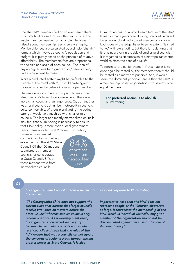

<span id="page-19-0"></span>Can the MAV members find an answer here? There is no practical revised formula that will suffice. This matter must be resolved on principle. The issue raised about membership fees is surely a furphy. Membership fees are calculated by a simple "shandy" formula which involves a council's population and budget. It is purely aimed at the principle of relative affordability. The membership fees are proportional to the size and scale of each council. The idea of paying higher fees for a greater "say" seems a very unlikely argument to make.

While a graduated system might be preferable to the "middle of the membership", it would grate against those who fervently believe in one vote per member.

The real genesis of plural voting simply lies in the structure of Victorian local government. There are more small councils than larger ones. Or, put another way, rural councils outnumber metropolitan councils quite comfortably. Without plural voting the voting strength would very much be with smaller rural councils. The larger and mostly metropolitan councils may feel that plural voting is necessary to ensure that MAV policy is more than a local government policy framework for rural Victoria. That notion,

however, is somewhat contradicted by compelling evidence from the 2021 State Council. Of the 102 motions submitted by member councils for consideration at State Council, 84% of those motions were from metropolitan councils.

84% of motions were from metropolitan councils

Plural voting has not always been a feature of the MAV Rules. For many years normal voting prevailed. In recent times, under plural voting, most member councils on both sides of the ledger have, to some extent, "learned to live" with plural voting. But there is no denying that it remains a thorn in the side of smaller rural councils. It is regarded as an extension of a metropolitan centric world so often the bane of rural life.

To return to the earlier theme – if this matter is to once again be tested by the members then it should be tested as a matter of principle. And, it would seem the dominant principle here is that the MAV is a membership based organisation with seventy nine equal members.

**The preferred option is to abolish plural voting.**

### $66$

#### *Corangamite Shire Council offered a succinct but reasoned response to Plural Voting. Council said:*

*"The Corangamite Shire does not support the current rules that dictate that larger councils receive two votes on matters before the State Council whereas smaller councils only receive one vote. As previously mentioned, Corangamite is concerned with equity between larger metro councils and smaller rural councils and seek that the rules of the MAV ensure that metro councils cannot ignore the concerns of regional areas through having greater power at State Council. It is also* 

*important to note that the MAV does not represent people or the Victorian electorate at large, it represents the membership of the MAV, which is individual Councils. Any given member of the organisation should not be discriminated against because of the size of its constituency."*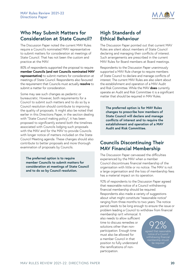

## <span id="page-20-0"></span>**Who May Submit Matters for Consideration at State Council?**

The Discussion Paper noted the current MAV Rules require a Council's nominated MAV representative to submit matters for consideration at meetings of State Council. That has not been the custom and practice at the MAV.

80% of respondents supported the proposal to require **member Councils (and not Councils nominated MAV representative)** to submit matters for consideration at meetings of State Council. Respondents also favoured the requirement that Councils must actually **resolve** to submit a matter for consideration.

Some may see such changes as pedantic or bureaucratic. However, both requirements for a Council to submit such matters and to do so by a Council resolution should contribute to improving the quality of proposals. It might also be noted that earlier in this Directions Paper, in the section dealing with "State Council making policy", it has been proposed to significantly extend both the timelines associated with Councils lodging such proposals with the MAV and for the MAV to provide Councils with longer notice of matters included on the State Council Meeting agenda. These changes should also contribute to better proposals and more thorough examination of proposals by Councils.

**The preferred option is to require member Councils to submit matters for consideration at meetings of State Council and to do so by Council resolution.**

## **High Standards of Ethical Behaviour**

The Discussion Paper pointed out that current MAV Rules are silent about members of State Council declaring and managing their conflicts of interest. Such arrangements are prescribed in the current MAV Rules for Board members at Board meetings.

Respondents to the Discussion Paper unanimously supported a MAV Rule change to require members of State Council to declare and manage conflicts of interest. The current MAV Rules are also silent about the establishment and operation of a MAV Audit and Risk Committee. While the MAV **does** currently operate an Audit and Risk Committee it is a significant matter that should be required in MAV Rules.

**The preferred option is for MAV Rules changes to prescribe how members of State Council will declare and manage conflicts of interest and to require the establishment and operation of a MAV Audit and Risk Committee.**

## **Councils Discontinuing Their MAV Financial Membership**

The Discussion Paper canvassed the difficulties experienced by the MAV when a member Council discontinues financial membership of the organisation with little or no notice. The MAV is not a large organisation and the loss of membership fees has a material impact on its operation.

92% of respondents to the Discussion Paper agreed that reasonable notice of a Council withdrawing financial membership should be required. Respondents also made a variety of suggestions about what might constitute "reasonable notice" ranging from three months to two years. The notice period needs to be long enough to ensure the issue or problem leading a Council to withdraw from financial

membership isn't whimsical. It also needs to allow sufficient time to discuss remedies or solutions other than nonparticipation. Enough time must also be allowed for a member Council in that position to fully understand the ramifications of nonparticipation.

92% agreed that reasonable withdrawing financial be required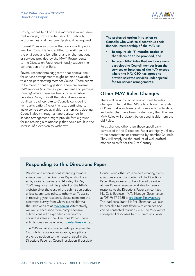

<span id="page-21-0"></span>Having regard to all of these matters it would seem that a longer, not a shorter period of notice to withdraw financial membership should be required.

Current Rules also provide that a non-participating member Council is "not entitled to avail itself of the privileges and benefits of any of the functions or services provided by the MAV". Respondents to the Discussion Paper unanimously support the continuation of that Rule.

Several respondents suggested that special, feefor-service arrangements might be made available to a non-participating member Council. There seems to be merit in that suggestion. There are several MAV services (insurances, procurement and perhaps training) where there are few or no alternative providers. Now, in itself that should serve as a significant **disincentive** to Councils considering non-participation. Never-the-less, continuing to make some services available to a non-participating Council, albeit through an appropriate fee-forservice arrangement, might provide fertile ground for maintaining a relationship that could result in the reversal of a decision to withdraw.

**The preferred option in relation to Councils who wish to discontinue their financial membership of the MAV is:**

- **• To require six (6) months' notice of that decision to be provided, and**
- **• To retain MAV Rules that exclude a nonparticipating Council member from the services or functions of the MAV except where the MAV CEO has agreed to provide selected services under special fee-for-service arrangements.**

## **Other MAV Rules Changes**

There will be a myriad of less noticeable Rules changes. In fact, if the MAV is to achieve the goals of Rules that are clearer and more easily understood, and Rules that have been modernised, then the new MAV Rules will probably be unrecognisable from the old Rules.

Rules changes other than those specifically canvassed in this Directions Paper are highly unlikely to be contentious or contested by member Councils. They will simply be the product of well drafted, modern rules fit for the 21st Century.

## **Responding to this Directions Paper**

Persons and organisations intending to make a response to the Directions Paper should do so by close of business on Monday 30 May 2022. Responses will be posted on the MAV's website after the close of the submission period unless submitters indicate otherwise. To assist in receiving your response, please complete the electronic survey form which is available via the MAV website at [mav.asn.au](http://www.mav.asn.au). Alternatively, we would encourage more comprehensive submissions with expanded commentary about the ideas in the Directions Paper. These submissions can be emailed to [rules@mav.asn.au](mailto:rules%40mav.asn.au?subject=).

The MAV would encourage participating member Councils to provide a response by adopting a preferred position to the matters raised in the Directions Paper by Council resolution, if possible. Councils and other stakeholders wanting to ask questions about the content of the Directions Paper, the processes to be followed to arrive at new Rules or avenues available to make a response to the Directions Paper can contact Ms. Celia Robinson, MAV Manager Governance at (03) 9667 5535 or [crobinson@mav.asn.au](mailto:crobinson%40mav.asn.au?subject=). The lead consultant, Mr. Phil Shanahan, will also be available to assist those with enquiries and can be contacted through Celia. The MAV wants widespread responses to this Directions Paper.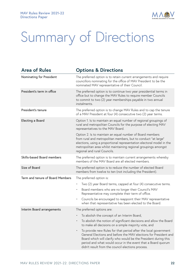

# Summary of Directions

| <b>Area of Rules</b>             | <b>Options &amp; Directions</b>                                                                                                                                                                                                                                                                                             |
|----------------------------------|-----------------------------------------------------------------------------------------------------------------------------------------------------------------------------------------------------------------------------------------------------------------------------------------------------------------------------|
| Nominating for President         | The preferred option is to retain current arrangements and require<br>councillors nominating for the office of MAV President to be the<br>nominated MAV representative of their Council.                                                                                                                                    |
| President's term in office       | The preferred option is to continue two year presidential terms in<br>office but to change the MAV Rules to require member Councils<br>to commit to two (2) year memberships payable in two annual<br>instalments.                                                                                                          |
| President's tenure               | The preferred option is to change MAV Rules and to cap the tenure<br>of a MAV President at four (4) consecutive two (2) year terms.                                                                                                                                                                                         |
| Electing a Board                 | Option 1. Is to maintain an equal number of regional groupings of<br>rural and metropolitan Councils for the purpose of electing MAV<br>representatives to the MAV Board.                                                                                                                                                   |
|                                  | Option 2. Is to maintain an equal number of Board members<br>from rural and metropolitan members, but to conduct "at large"<br>elections, using a proportional representation electoral model in the<br>metropolitan area whilst maintaining regional groupings amongst<br>regional and rural Councils.                     |
| Skills-based Board members       | The preferred option is to maintain current arrangements whereby<br>members of the MAV Board are all elected members.                                                                                                                                                                                                       |
| Size of Board                    | The preferred option is to reduce the number of elected Board<br>members from twelve to ten (not including the President).                                                                                                                                                                                                  |
| Term and tenure of Board Members | The preferred option is:                                                                                                                                                                                                                                                                                                    |
|                                  | Two (2) year Board terms, capped at four (4) consecutive terms.<br>$\bullet$                                                                                                                                                                                                                                                |
|                                  | Board members who are no longer their Council's MAV<br>$\bullet$<br>Representative may complete their term of office.                                                                                                                                                                                                       |
|                                  | Councils be encouraged to reappoint their MAV representative<br>$\bullet$<br>when that representative has been elected to the Board.                                                                                                                                                                                        |
| Interim Board arrangements       | The preferred options are:                                                                                                                                                                                                                                                                                                  |
|                                  | To abolish the concept of an Interim Board,                                                                                                                                                                                                                                                                                 |
|                                  | To abolish the notion of significant decisions and allow the Board<br>to make all decisions on a simple majority vote, and                                                                                                                                                                                                  |
|                                  | To provide new Rules for that period after the local government<br>General Elections and before the MAV elections for President and<br>Board which will clarify who would be the President during this<br>period and what would occur in the event that a Board quorum<br>didn't result from the council elections process. |